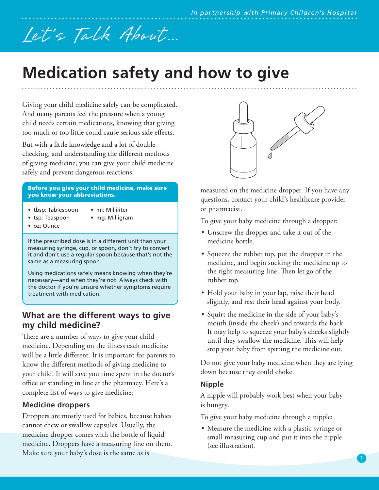# Let's Talk About...

## **Medication safety and how to give**

Giving your child medicine safely can be complicated. And many parents feel the pressure when a young child needs certain medications, knowing that giving too much or too little could cause serious side effects.

But with a little knowledge and a lot of doublechecking, and understanding the different methods of giving medicine, you can give your child medicine safely and prevent dangerous reactions.

#### Before you give your child medicine, make sure you know your abbreviations.

- tbsp: Tablespoon
- ml: Milliliter
- tsp: Teaspoon
- mg: Milligram
- oz: Ounce

If the prescribed dose is in a different unit than your measuring syringe, cup, or spoon, don't try to convert it and don't use a regular spoon because that's not the same as a measuring spoon.

Using medications safely means knowing when they're necessary—and when they're not. Always check with the doctor if you're unsure whether symptoms require treatment with medication.

### **What are the different ways to give my child medicine?**

There are a number of ways to give your child medicine. Depending on the illness each medicine will be a little different. It is important for parents to know the different methods of giving medicine to your child. It will save you time spent in the doctor's office or standing in line at the pharmacy. Here's a complete list of ways to give medicine:

#### **Medicine droppers**

Droppers are mostly used for babies, because babies cannot chew or swallow capsules. Usually, the medicine dropper comes with the bottle of liquid medicine. Droppers have a measuring line on them. Make sure your baby's dose is the same as is



measured on the medicine dropper. If you have any questions, contact your child's healthcare provider or pharmacist.

To give your baby medicine through a dropper:

- Unscrew the dropper and take it out of the medicine bottle.
- Squeeze the rubber top, put the dropper in the medicine, and begin sucking the medicine up to the right measuring line. Then let go of the rubber top.
- Hold your baby in your lap, raise their head slightly, and rest their head against your body.
- Squirt the medicine in the side of your baby's mouth (inside the cheek) and towards the back. It may help to squeeze your baby's cheeks slightly until they swallow the medicine. This will help stop your baby from spitting the medicine out.

Do not give your baby medicine when they are lying down because they could choke.

#### **Nipple**

A nipple will probably work best when your baby is hungry.

To give your baby medicine through a nipple:

• Measure the medicine with a plastic syringe or small measuring cup and put it into the nipple (see illustration).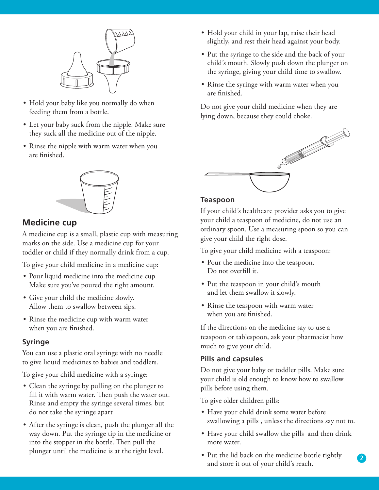

- Hold your baby like you normally do when feeding them from a bottle.
- Let your baby suck from the nipple. Make sure they suck all the medicine out of the nipple.
- Rinse the nipple with warm water when you are finished.



#### **Medicine cup**

A medicine cup is a small, plastic cup with measuring marks on the side. Use a medicine cup for your toddler or child if they normally drink from a cup.

To give your child medicine in a medicine cup:

- Pour liquid medicine into the medicine cup. Make sure you've poured the right amount.
- Give your child the medicine slowly. Allow them to swallow between sips.
- Rinse the medicine cup with warm water when you are finished.

#### **Syringe**

You can use a plastic oral syringe with no needle to give liquid medicines to babies and toddlers.

To give your child medicine with a syringe:

- Clean the syringe by pulling on the plunger to fill it with warm water. Then push the water out. Rinse and empty the syringe several times, but do not take the syringe apart
- After the syringe is clean, push the plunger all the way down. Put the syringe tip in the medicine or into the stopper in the bottle. Then pull the plunger until the medicine is at the right level.
- Hold your child in your lap, raise their head slightly, and rest their head against your body.
- Put the syringe to the side and the back of your child's mouth. Slowly push down the plunger on the syringe, giving your child time to swallow.
- Rinse the syringe with warm water when you are finished.

Do not give your child medicine when they are lying down, because they could choke.



#### **Teaspoon**

If your child's healthcare provider asks you to give your child a teaspoon of medicine, do not use an ordinary spoon. Use a measuring spoon so you can give your child the right dose.

To give your child medicine with a teaspoon:

- Pour the medicine into the teaspoon. Do not overfill it.
- Put the teaspoon in your child's mouth and let them swallow it slowly.
- Rinse the teaspoon with warm water when you are finished.

If the directions on the medicine say to use a teaspoon or tablespoon, ask your pharmacist how much to give your child.

#### **Pills and capsules**

Do not give your baby or toddler pills. Make sure your child is old enough to know how to swallow pills before using them.

To give older children pills:

- Have your child drink some water before swallowing a pills , unless the directions say not to.
- Have your child swallow the pills and then drink more water.

**2**

• Put the lid back on the medicine bottle tightly and store it out of your child's reach.